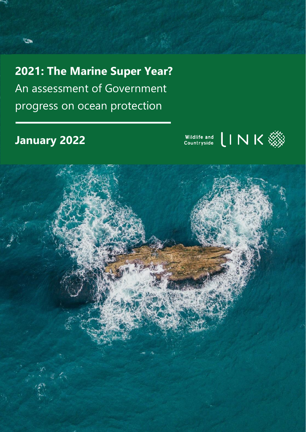**2021: The Marine Super Year?** An assessment of Government progress on ocean protection

# **January 2022**

**Time** 



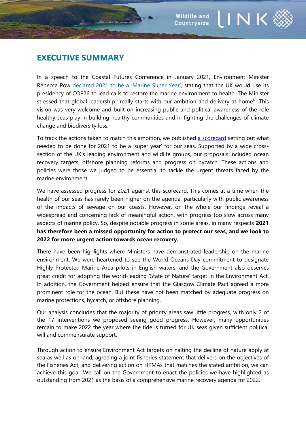INK

# **EXECUTIVE SUMMARY**

In a speech to the Coastal Futures Conference in January 2021, Environment Minister Rebecca Pow [declared 2021 to be a 'Marine Super Year'](https://www.gov.uk/government/speeches/a-vision-for-uk-seas), stating that the UK would use its presidency of COP26 to lead calls to restore the marine environment to health. The Minister stressed that global leadership ''really starts with our ambition and delivery at home''. This vision was very welcome and built on increasing public and political awareness of the role healthy seas play in building healthy communities and in fighting the challenges of climate change and biodiversity loss.

To track the actions taken to match this ambition, we published [a scorecard](https://www.wcl.org.uk/assets/uploads/img/files/Marine_Scorecard_Report_April_2021_1.pdf) setting out what needed to be done for 2021 to be a 'super year' for our seas. Supported by a wide crosssection of the UK's leading environment and wildlife groups, our proposals included ocean recovery targets, offshore planning reforms and progress on bycatch. These actions and policies were those we judged to be essential to tackle the urgent threats faced by the marine environment.

We have assessed progress for 2021 against this scorecard. This comes at a time when the health of our seas has rarely been higher on the agenda, particularly with public awareness of the impacts of sewage on our coasts. However, on the whole our findings reveal a widespread and concerning lack of meaningful action, with progress too slow across many aspects of marine policy. So, despite notable progress in some areas, in many respects **2021 has therefore been a missed opportunity for action to protect our seas, and we look to 2022 for more urgent action towards ocean recovery.**

There have been highlights where Ministers have demonstrated leadership on the marine environment. We were heartened to see the World Oceans Day commitment to designate Highly Protected Marine Area pilots in English waters, and the Government also deserves great credit for adopting the world-leading 'State of Nature' target in the Environment Act. In addition, the Government helped ensure that the Glasgow Climate Pact agreed a more prominent role for the ocean. But these have not been matched by adequate progress on marine protections, bycatch, or offshore planning.

Our analysis concludes that the majority of priority areas saw little progress, with only 2 of the 17 interventions we proposed seeing good progress. However, many opportunities remain to make 2022 the year where the tide is turned for UK seas given sufficient political will and commensurate support.

Through action to ensure Environment Act targets on halting the decline of nature apply at sea as well as on land, agreeing a joint fisheries statement that delivers on the objectives of the Fisheries Act, and delivering action on HPMAs that matches the stated ambition, we can achieve this goal. We call on the Government to enact the policies we have highlighted as outstanding from 2021 as the basis of a comprehensive marine recovery agenda for 2022.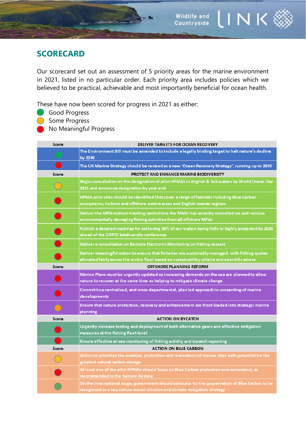# **SCORECARD**

Our scorecard set out an assessment of 5 priority areas for the marine environment in 2021, listed in no particular order. Each priority area includes policies which we believed to be practical, achievable and most importantly beneficial for ocean health.

These have now been scored for progress in 2021 as either:

**Constant** 

- **Good Progress**
- **Some Progress**
- No Meaningful Progress

| <b>Score</b> | <b>DELIVER TARGETS FOR OCEAN RECOVERY</b>                                                                                                                                                          |
|--------------|----------------------------------------------------------------------------------------------------------------------------------------------------------------------------------------------------|
|              | The Environment Bill must be amended to include a legally binding target to halt nature's decline<br>by 2030                                                                                       |
|              | The UK Marine Strategy should be revised as a new 'Ocean Recovery Strategy', running up to 2030                                                                                                    |
| <b>Score</b> | <b>PROTECT AND ENHANCE MARINE BIODIVERSITY</b>                                                                                                                                                     |
|              | Begin consultation on the designation of pilot HPMAs in English & SoS waters by World Ocean Day<br>2021 and announce designation by year end                                                       |
|              | HPMA pilot sites should be identified that cover a range of habitats including Blue Carbon<br>ecosystems, inshore and offshore waters areas and English coastal regions                            |
|              | Deliver the MPA bottom trawling restrictions the MMO has recently consulted on and remove<br>environmentally damaging fishing activities from all offshore MPAs                                    |
|              | Publish a detailed roadmap for achieving 30% of our waters being fully or highly protected by 2030<br>ahead of the COP15 biodiversity conference                                                   |
|              | Deliver a consultation on Remote Electronic Monitoring on fishing vessels                                                                                                                          |
|              | Deliver meaningful action to ensure that fisheries are sustainably managed, with fishing quotas<br>allocated fairly across the entire fleet based on sustainability criteria and scientific advice |
| Score        | <b>OFFSHORE PLANNING REFORM</b>                                                                                                                                                                    |
|              | Marine Plans must be urgently updated so increasing demands on the sea are planned to allow<br>nature to recover at the same time as helping to mitigate climate change                            |
|              | Commit to a centralised, and cross-departmental, plan led approach to consenting of marine<br>developments                                                                                         |
|              | Ensure that nature protection, recovery and enhancement are front loaded into strategic marine<br>planning                                                                                         |
| <b>Score</b> | <b>ACTION ON BYCATCH</b>                                                                                                                                                                           |
|              | Urgently increase testing and deployment of both alternative gears and effective mitigation<br>measures at the fishing fleet level                                                                 |
|              | Ensure effective at-sea monitoring of fishing activity and bycatch reporting                                                                                                                       |
| Score        | <b>ACTION ON BLUE CARBON</b>                                                                                                                                                                       |
|              | Action to prioritise the creation, protection and restoration of marine sites with potential for the<br>greatest natural carbon storage                                                            |
|              | At least one of the pilot HPMAs should focus on Blue Carbon protection and restoration, as<br>recommended in the Benyon Review                                                                     |
|              | On the international stage, government should advocate for the preservation of Blue Carbon to be<br>recognised as a key nature-based solution and climate mitigation strategy                      |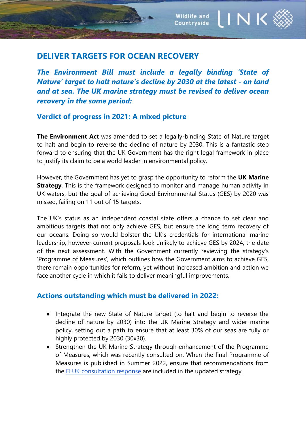**Commence** 

*The Environment Bill must include a legally binding 'State of Nature' target to halt nature's decline by 2030 at the latest - on land and at sea. The UK marine strategy must be revised to deliver ocean recovery in the same period:*

INK

**Wildlife and** 

Countryside

## **Verdict of progress in 2021: A mixed picture**

**The Environment Act** was amended to set a legally-binding State of Nature target to halt and begin to reverse the decline of nature by 2030. This is a fantastic step forward to ensuring that the UK Government has the right legal framework in place to justify its claim to be a world leader in environmental policy.

However, the Government has yet to grasp the opportunity to reform the **UK Marine Strategy**. This is the framework designed to monitor and manage human activity in UK waters, but the goal of achieving Good Environmental Status (GES) by 2020 was missed, failing on 11 out of 15 targets.

The UK's status as an independent coastal state offers a chance to set clear and ambitious targets that not only achieve GES, but ensure the long term recovery of our oceans. Doing so would bolster the UK's credentials for international marine leadership, however current proposals look unlikely to achieve GES by 2024, the date of the next assessment. With the Government currently reviewing the strategy's 'Programme of Measures', which outlines how the Government aims to achieve GES, there remain opportunities for reform, yet without increased ambition and action we face another cycle in which it fails to deliver meaningful improvements.

#### **Actions outstanding which must be delivered in 2022:**

- Integrate the new State of Nature target (to halt and begin to reverse the decline of nature by 2030) into the UK Marine Strategy and wider marine policy, setting out a path to ensure that at least 30% of our seas are fully or highly protected by 2030 (30x30).
- Strengthen the UK Marine Strategy through enhancement of the Programme of Measures, which was recently consulted on. When the final Programme of Measures is published in Summer 2022, ensure that recommendations from the **ELUK** consultation response are included in the updated strategy.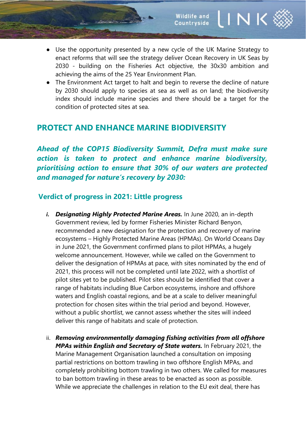- Use the opportunity presented by a new cycle of the UK Marine Strategy to enact reforms that will see the strategy deliver Ocean Recovery in UK Seas by 2030 - building on the Fisheries Act objective, the 30x30 ambition and achieving the aims of the 25 Year Environment Plan.
- The Environment Act target to halt and begin to reverse the decline of nature by 2030 should apply to species at sea as well as on land; the biodiversity index should include marine species and there should be a target for the condition of protected sites at sea.

# **PROTECT AND ENHANCE MARINE BIODIVERSITY**

*Ahead of the COP15 Biodiversity Summit, Defra must make sure action is taken to protect and enhance marine biodiversity, prioritising action to ensure that 30% of our waters are protected and managed for nature's recovery by 2030:*

## **Verdict of progress in 2021: Little progress**

- *i. Designating Highly Protected Marine Areas.* In June 2020, an in-depth Government review, led by former Fisheries Minister Richard Benyon, recommended a new designation for the protection and recovery of marine ecosystems – Highly Protected Marine Areas (HPMAs). On World Oceans Day in June 2021, the Government confirmed plans to pilot HPMAs, a hugely welcome announcement. However, while we called on the Government to deliver the designation of HPMAs at pace, with sites nominated by the end of 2021, this process will not be completed until late 2022, with a shortlist of pilot sites yet to be published. Pilot sites should be identified that cover a range of habitats including Blue Carbon ecosystems, inshore and offshore waters and English coastal regions, and be at a scale to deliver meaningful protection for chosen sites within the trial period and beyond. However, without a public shortlist, we cannot assess whether the sites will indeed deliver this range of habitats and scale of protection.
- ii. *Removing environmentally damaging fishing activities from all offshore MPAs within English and Secretary of State waters.* In February 2021, the Marine Management Organisation launched a consultation on imposing partial restrictions on bottom trawling in two offshore English MPAs, and completely prohibiting bottom trawling in two others. We called for measures to ban bottom trawling in these areas to be enacted as soon as possible. While we appreciate the challenges in relation to the EU exit deal, there has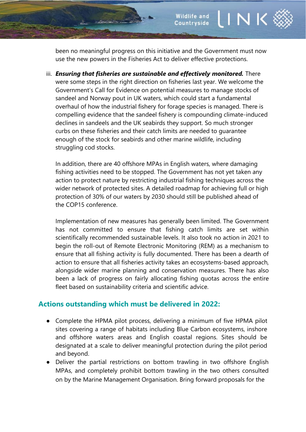been no meaningful progress on this initiative and the Government must now use the new powers in the Fisheries Act to deliver effective protections.

iii. *Ensuring that fisheries are sustainable and effectively monitored.* There were some steps in the right direction on fisheries last year. We welcome the Government's Call for Evidence on potential measures to manage stocks of sandeel and Norway pout in UK waters, which could start a fundamental overhaul of how the industrial fishery for forage species is managed. There is compelling evidence that the sandeel fishery is compounding climate-induced declines in sandeels and the UK seabirds they support. So much stronger curbs on these fisheries and their catch limits are needed to guarantee enough of the stock for seabirds and other marine wildlife, including struggling cod stocks.

In addition, there are 40 offshore MPAs in English waters, where damaging fishing activities need to be stopped. The Government has not yet taken any action to protect nature by restricting industrial fishing techniques across the wider network of protected sites. A detailed roadmap for achieving full or high protection of 30% of our waters by 2030 should still be published ahead of the COP15 conference.

Implementation of new measures has generally been limited. The Government has not committed to ensure that fishing catch limits are set within scientifically recommended sustainable levels. It also took no action in 2021 to begin the roll-out of Remote Electronic Monitoring (REM) as a mechanism to ensure that all fishing activity is fully documented. There has been a dearth of action to ensure that all fisheries activity takes an ecosystems-based approach, alongside wider marine planning and conservation measures. There has also been a lack of progress on fairly allocating fishing quotas across the entire fleet based on sustainability criteria and scientific advice.

#### **Actions outstanding which must be delivered in 2022:**

- Complete the HPMA pilot process, delivering a minimum of five HPMA pilot sites covering a range of habitats including Blue Carbon ecosystems, inshore and offshore waters areas and English coastal regions. Sites should be designated at a scale to deliver meaningful protection during the pilot period and beyond.
- Deliver the partial restrictions on bottom trawling in two offshore English MPAs, and completely prohibit bottom trawling in the two others consulted on by the Marine Management Organisation. Bring forward proposals for the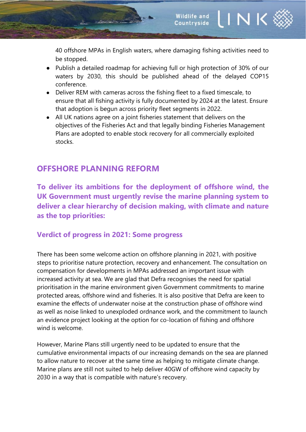40 offshore MPAs in English waters, where damaging fishing activities need to be stopped.

- Publish a detailed roadmap for achieving full or high protection of 30% of our waters by 2030, this should be published ahead of the delayed COP15 conference.
- Deliver REM with cameras across the fishing fleet to a fixed timescale, to ensure that all fishing activity is fully documented by 2024 at the latest. Ensure that adoption is begun across priority fleet segments in 2022.
- All UK nations agree on a joint fisheries statement that delivers on the objectives of the Fisheries Act and that legally binding Fisheries Management Plans are adopted to enable stock recovery for all commercially exploited stocks.

# **OFFSHORE PLANNING REFORM**

**To deliver its ambitions for the deployment of offshore wind, the UK Government must urgently revise the marine planning system to deliver a clear hierarchy of decision making, with climate and nature as the top priorities:**

#### **Verdict of progress in 2021: Some progress**

There has been some welcome action on offshore planning in 2021, with positive steps to prioritise nature protection, recovery and enhancement. The consultation on compensation for developments in MPAs addressed an important issue with increased activity at sea. We are glad that Defra recognises the need for spatial prioritisation in the marine environment given Government commitments to marine protected areas, offshore wind and fisheries. It is also positive that Defra are keen to examine the effects of underwater noise at the construction phase of offshore wind as well as noise linked to unexploded ordnance work, and the commitment to launch an evidence project looking at the option for co-location of fishing and offshore wind is welcome.

However, Marine Plans still urgently need to be updated to ensure that the cumulative environmental impacts of our increasing demands on the sea are planned to allow nature to recover at the same time as helping to mitigate climate change. Marine plans are still not suited to help deliver 40GW of offshore wind capacity by 2030 in a way that is compatible with nature's recovery.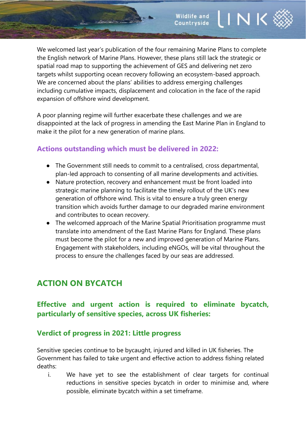We welcomed last year's publication of the four remaining Marine Plans to complete the English network of Marine Plans. However, these plans still lack the strategic or spatial road map to supporting the achievement of GES and delivering net zero targets whilst supporting ocean recovery following an ecosystem-based approach. We are concerned about the plans' abilities to address emerging challenges including cumulative impacts, displacement and colocation in the face of the rapid expansion of offshore wind development.

**INK** 

**Wildlife and** 

Countryside

A poor planning regime will further exacerbate these challenges and we are disappointed at the lack of progress in amending the East Marine Plan in England to make it the pilot for a new generation of marine plans.

## **Actions outstanding which must be delivered in 2022:**

<u> Socialista de</u>

- The Government still needs to commit to a centralised, cross departmental, plan-led approach to consenting of all marine developments and activities.
- Nature protection, recovery and enhancement must be front loaded into strategic marine planning to facilitate the timely rollout of the UK's new generation of offshore wind. This is vital to ensure a truly green energy transition which avoids further damage to our degraded marine environment and contributes to ocean recovery.
- The welcomed approach of the Marine Spatial Prioritisation programme must translate into amendment of the East Marine Plans for England. These plans must become the pilot for a new and improved generation of Marine Plans. Engagement with stakeholders, including eNGOs, will be vital throughout the process to ensure the challenges faced by our seas are addressed.

# **ACTION ON BYCATCH**

## **Effective and urgent action is required to eliminate bycatch, particularly of sensitive species, across UK fisheries:**

#### **Verdict of progress in 2021: Little progress**

Sensitive species continue to be bycaught, injured and killed in UK fisheries. The Government has failed to take urgent and effective action to address fishing related deaths:

i. We have yet to see the establishment of clear targets for continual reductions in sensitive species bycatch in order to minimise and, where possible, eliminate bycatch within a set timeframe.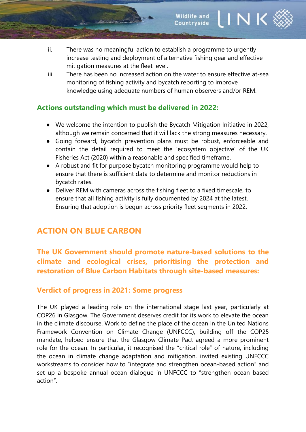- ii. There was no meaningful action to establish a programme to urgently increase testing and deployment of alternative fishing gear and effective mitigation measures at the fleet level.
- iii. There has been no increased action on the water to ensure effective at-sea monitoring of fishing activity and bycatch reporting to improve knowledge using adequate numbers of human observers and/or REM.

#### **Actions outstanding which must be delivered in 2022:**

- We welcome the intention to publish the Bycatch Mitigation Initiative in 2022, although we remain concerned that it will lack the strong measures necessary.
- Going forward, bycatch prevention plans must be robust, enforceable and contain the detail required to meet the 'ecosystem objective' of the UK Fisheries Act (2020) within a reasonable and specified timeframe.
- A robust and fit for purpose bycatch monitoring programme would help to ensure that there is sufficient data to determine and monitor reductions in bycatch rates.
- Deliver REM with cameras across the fishing fleet to a fixed timescale, to ensure that all fishing activity is fully documented by 2024 at the latest. Ensuring that adoption is begun across priority fleet segments in 2022.

# **ACTION ON BLUE CARBON**

# **The UK Government should promote nature-based solutions to the climate and ecological crises, prioritising the protection and restoration of Blue Carbon Habitats through site-based measures:**

## **Verdict of progress in 2021: Some progress**

The UK played a leading role on the international stage last year, particularly at COP26 in Glasgow. The Government deserves credit for its work to elevate the ocean in the climate discourse. Work to define the place of the ocean in the United Nations Framework Convention on Climate Change (UNFCCC), building off the COP25 mandate, helped ensure that the Glasgow Climate Pact agreed a more prominent role for the ocean. In particular, it recognised the "critical role" of nature, including the ocean in climate change adaptation and mitigation, invited existing UNFCCC workstreams to consider how to "integrate and strengthen ocean-based action" and set up a bespoke annual ocean dialogue in UNFCCC to "strengthen ocean-based action".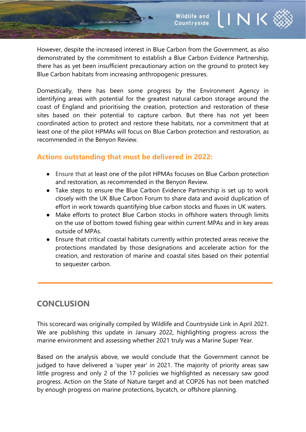However, despite the increased interest in Blue Carbon from the Government, as also demonstrated by the commitment to establish a Blue Carbon Evidence Partnership, there has as yet been insufficient precautionary action on the ground to protect key Blue Carbon habitats from increasing anthropogenic pressures.

Domestically, there has been some progress by the Environment Agency in identifying areas with potential for the greatest natural carbon storage around the coast of England and prioritising the creation, protection and restoration of these sites based on their potential to capture carbon. But there has not yet been coordinated action to protect and restore these habitats, nor a commitment that at least one of the pilot HPMAs will focus on Blue Carbon protection and restoration, as recommended in the Benyon Review.

## **Actions outstanding that must be delivered in 2022:**

- Ensure that at least one of the pilot HPMAs focuses on Blue Carbon protection and restoration, as recommended in the Benyon Review.
- Take steps to ensure the Blue Carbon Evidence Partnership is set up to work closely with the UK Blue Carbon Forum to share data and avoid duplication of effort in work towards quantifying blue carbon stocks and fluxes in UK waters.
- Make efforts to protect Blue Carbon stocks in offshore waters through limits on the use of bottom towed fishing gear within current MPAs and in key areas outside of MPAs.
- Ensure that critical coastal habitats currently within protected areas receive the protections mandated by those designations and accelerate action for the creation, and restoration of marine and coastal sites based on their potential to sequester carbon.

# **CONCLUSION**

This scorecard was originally compiled by Wildlife and Countryside Link in April 2021. We are publishing this update in January 2022, highlighting progress across the marine environment and assessing whether 2021 truly was a Marine Super Year.

Based on the analysis above, we would conclude that the Government cannot be judged to have delivered a 'super year' in 2021. The majority of priority areas saw little progress and only 2 of the 17 policies we highlighted as necessary saw good progress. Action on the State of Nature target and at COP26 has not been matched by enough progress on marine protections, bycatch, or offshore planning.